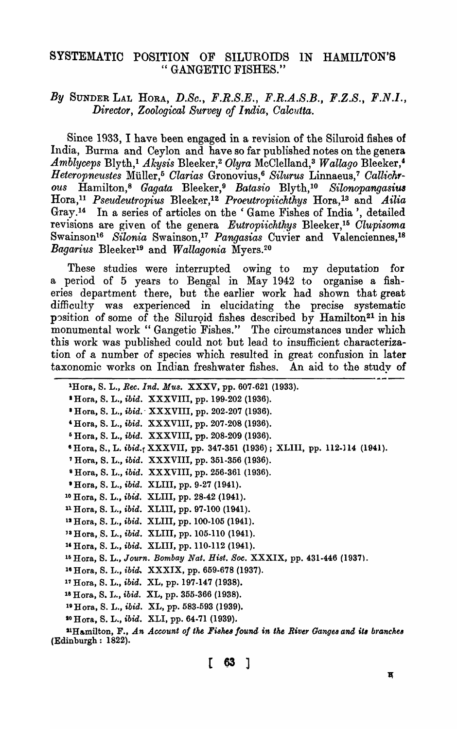## SYSTEMATIC POSITION OF SILUROIDS IN HAMILTON'S " GANGETIC FISHES."

## By SUNDER LAL HORA, *D.Se.,* F.R.S.E., F.R.A.S.B., F.Z.S., F.N.I., *Director, Zoological Survey of I ndia, Calcutta.*

Since 1933, I have been engaged in a revision of the Siluroid fishes of India, Burma and Ceylon and have so far published notes on the genera *Amblyceps Blyth,<sup>1</sup> Akysis Bleeker,<sup>2</sup> Olyra McClelland,<sup>3</sup> <i>Wallago Bleeker*,<sup>4</sup> *H eteropne'Ustes* MUller, 5 *Olarias* Gronovius,6 *Silurus* Linnaeus,7 *CalUch, ous* Hamilton,8 *Gagata* Bleeker, 9 *Batasio* Blyth, 10 *Silonopangasitl8*  Hora,11 *Pseudeutropius* Bleek~r,12 *Proeutropiichthys* Hora,ls and *Ailia*  Gray.<sup>14</sup> In a series of articles on the 'Game Fishes of India', detailed revisions are given of the genera Eutropiichthys Bleeker,<sup>15</sup> Clupisoma Swainson16 *Silonia* Swainson,17 *Pangasias* Ouvier and Valenciennes, 18 *Bagarius* Bleeker19 and *Wallagonia* Myers. <sup>20</sup>

These studies were interrupted owing to my deputation for a period of 5 years to Bengal in May 1942 to organise a fisheries department there, but the earlier work had shown that great difficulty was experienced in elucidating the precise systematic position of some of the Siluroid fishes described by Hamilton<sup>21</sup> in his monumental work" Gangetic Fishes." The circumstances under which this work was published could not but lead to insufficient characterization of a. number of species which resulted in great confusion in later taxonomic works on Indian freshwater fishes. An aid to the study of

| THURSDELL TEORITOMONE TEST WIS TO THE MORTH.                                                                       |
|--------------------------------------------------------------------------------------------------------------------|
| <sup>1</sup> Hora, S. L., <i>Rec. Ind. Mus.</i> XXXV, pp. 607-621 (1933).                                          |
| * Hora, S. L., <i>ibid.</i> XXXVIII, pp. 199-202 (1936).                                                           |
| <sup>8</sup> Hora, S. L., <i>ibid.</i> XXXVIII, pp. 202-207 (1936).                                                |
| <sup>4</sup> Hora, S. L., <i>ibid.</i> XXXVIII, pp. 207-208 (1936).                                                |
| <sup>5</sup> Hora, S. L., <i>ibid.</i> XXXVIII, pp. 208-209 (1936).                                                |
| $\bullet$ Hora, S., L. ibid., XXXVII, pp. 347-351 (1936); XLIII, pp. 112-114 (1941).                               |
| <sup>7</sup> Hora, S. L., <i>ibid.</i> XXXVIII, pp. 351-356 (1936).                                                |
| <sup>8</sup> Hora, S. L., <i>ibid.</i> XXXVIII, pp. 256-361 (1936).                                                |
| <sup>•</sup> Hora, S. L., <i>ibid.</i> XLIII, pp. 9-27 (1941).                                                     |
| <sup>10</sup> Hora, S. L., <i>ibid.</i> XLIII, pp. 28-42 (1941).                                                   |
| $n_{\text{Hora}}$ , S. L., <i>ibid.</i> XLIII, pp. 97-100 (1941).                                                  |
| <sup>12</sup> Hora, S. L., <i>ibid.</i> XLIII, pp. 100-105 (1941).                                                 |
| <sup>18</sup> Hora, S. L., <i>ibid.</i> XLIII, pp. 105-110 (1941).                                                 |
| <sup>14</sup> Hora, S. L., <i>ibid.</i> XLIII, pp. 110-112 (1941).                                                 |
| <sup>15</sup> Hora, S. L., Journ. Bombay Nat. Hist. Soc. XXXIX, pp. 431-446 (1937).                                |
| <sup>16</sup> Hora, S. L., <i>ibid.</i> XXXIX, pp. 659-678 (1937).                                                 |
| <sup>17</sup> Hora, S. L., <i>ibid.</i> XL, pp. 197-147 (1938).                                                    |
| <sup>18</sup> Hora, S. L., <i>ibid.</i> XL, pp. 355-366 (1938).                                                    |
| <sup>19</sup> Hora, S. L., <i>ibid.</i> XL, pp. 583-593 (1939).                                                    |
| $^{20}$ H ora, S. L., <i>ibid.</i> XLI, pp. 64-71 (1939).                                                          |
| $^{21}$ Hamilton, F., An Account of the Fishes found in the River Ganges and its branches<br>(Edinburgh: $1822$ ). |

 $\begin{bmatrix} 63 \end{bmatrix}$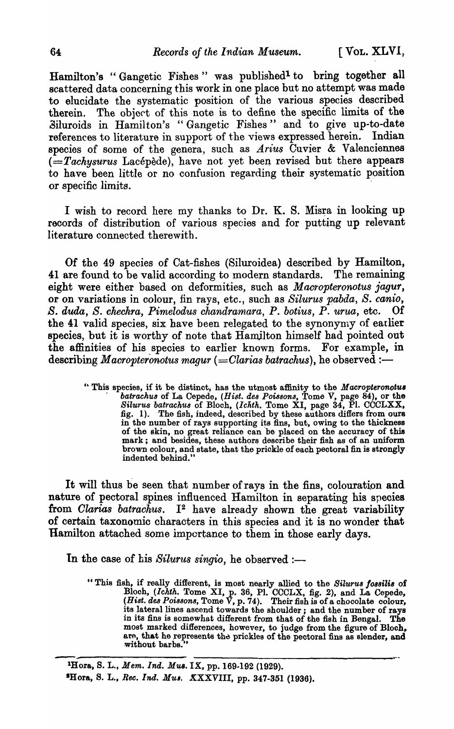Hamilton's "Gangetic Fishes" was published<sup>1</sup> to bring together all scattered data concerning this work in one place but no attempt was made to elucidate the systematic position of the various species described therein. The object of this note is to define the specific limits of the Siluroids in Hamilton's "Gangetic Fishes" and to give up-to-date references to literature in support of the views expressed herein. Indian species of some of the genera, such as *Arius* Cuvier & Valenciennes  $(=Tachysurus$  Lacépède), have not yet been revised but there appears to have been little or no confusion regarding their systematic position or specific limits.

I wish to record here my thanks to Dr. K. S. Misra in looking up records of distribution of various species and for putting up relevant literature connected therewith.

Of the 49 species of Cat-fishes (Siluroidea) described by Hamilton, 41 are found to be valid according to modern standards. The remaining eight were either based on deformities, such as *Macropteronotus jagur,*  or on variations in colour, fin rays, etc., such as *Silurus pabda, S. canio,*  S. duda, S. chechra, Pimelodus chandramara, P. botius, P. urua, etc. Of the 41 valid species, six have been relegated to the synonymy of earlier species, but it is worthy of note that Hamjlton himself had pointed out the affinities of his species to earlier known forms. For example, in describing *Macropteronotus magur (=Clarias batrachus)*, he observed :-

> " This species, if it be distinct, has the utmost affinity to the *Macropteronotus Silurus batrachus* of Bloch, (*Ichth.* Tome XI, page 34, Pl. CCCLXX, fig. 1). The fish, indeed, described by these authors differs from ours in the number of rays supporting its fins, but, owing to the thickness of the skin, no great reliance can be placed on the accuracy of this mark; and besides, these authors desoribe their fish as of an uniform brown colour, and state, that the priokle of each pectoral fin is strongly indented behind."

It will thus be seen that number of rays in the fins, colouration and nature of pectoral spines influenced Hamilton in separating his species from *Clarias batrachus*. I<sup>2</sup> have already shown the great variability of certain taxonomio characters in this species and it is no wonder that Hamilton attached some importance to them in those early days.

In the case of his *Silurus singio*, he observed :-

"This fish, if really different, is most nearly allied to the *8iluru8 /088ilis* of Blooh, *(Ichth.* Tome XI, p. 36, Pl. CCCLX, fig. 2), and La Cepede, (*Hist. des Poissons*, Tome  $\bar{V}$ , p. 74). Their fish is of a chocolate colour, its lateral lines ascend towards the shoulder; and the number of rays in its fins is somewhat different from that of the fish in Bengal. The most marked differences, however, to judge from the figure of Bloch, are, that he represents the prickles of the pectoral fins as slender, and without barbs.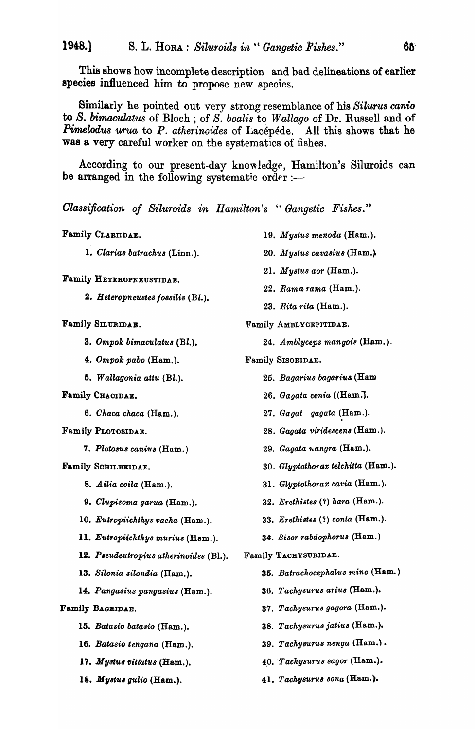This shows how incomplete description and bad delineations of earlier species influenced him to propose new species.

Similarly he pointed out very strong resemblance of his Silurus canio to S. bimaculatus of Bloch; of S. boalis to Wallago of Dr. Russell and of **Pimelodus urua to P.** atherinoides of Lacépéde. All this shows that he was a very careful worker on the systematics of fishes.

According to our present-day knowledge, Hamilton's Siluroids can be arranged in the following systematic ord $\epsilon$ r :-

Classification of Siluroids in Hamilton's "Gangetic Fishes."

Family CLARIIDAE.

1. Clarias batrachus (Linn.).

Family HETEROPNEUSTIDAE.

2. Heteropneustes fossilis (Bl.).

Family SILURIDAE.

- 3. Ompok bimaculatus (Bl.).
- 4. Ompok pabo (Ham.).
- 5. Wallagonia attu (Bl.).
- Family CHACIDAE.
	- 6. Chaca chaca (Ham.).
- Family PLOTOSIDAE.
	- 7. Plotosus canius (Ham.)
- Family SCHILBEIDAE.
	- 8. Ailia coila (Ham.).
	- 9. Clupisoma garua (Ham.).
	- 10. Eutropiichthys vacha (Ham.).
	- 11. Eutropiichthys murius (Ham.).
	- 12. Pseudeutropius atherinoides (Bl.).
	- 13. Silonia silondia (Ham.).
	- 14. Pangasius pangasius (Ham.).
- Family BAGRIDAE.
	- 15. Batasio batasio (Ham.).
	- 16. Batasio tengana (Ham.).
	- 17. Mystus vittatus (Ham.).
	- 18. Mystus gulio (Ham.).
- 19. Mystus menoda (Ham.).
- 20. Mystus cavasius (Ham.).
- 21. Mystus aor (Ham.).
- 22. Rama rama (Ham.).
- 23. Rita rita (Ham.).

**Family AMBLYCEPITIDAE.** 

- 24. Amblyceps mangois (Ham.).
- Family SISORIDAE.
	- 25. Bagarius bagarius (Ham
	- 26. Gagata cenia ((Ham.).
	- 27. Gagat gagata (Ham.).
	- 28. Gagata viridescens (Ham.).
	- 29. Gagata nangra (Ham.).
	- 30. Glyptothorax telchitta (Ham.).
	- 31. Glyptothorax caria (Ham.).
	- 32. Erethistes (?) hara (Ham.).
	- 33. Erethistes (?) conta (Ham.).
	- 34. Sisor rabdophorus (Ham.)
- Family TACHYSURIDAE.
	- 35. Batrachocephalus mino (Ham.)
	- 36. Tachysurus arius (Ham.).
	- 37. Tachysurus gagora (Ham.).
	- 38. Tachysurus jatius (Ham.).
	- 39. Tachysurus nenga (Ham.).
	- 40. Tachysurus sagor (Ham.).
	- 41. Tachysurus sona (Ham.).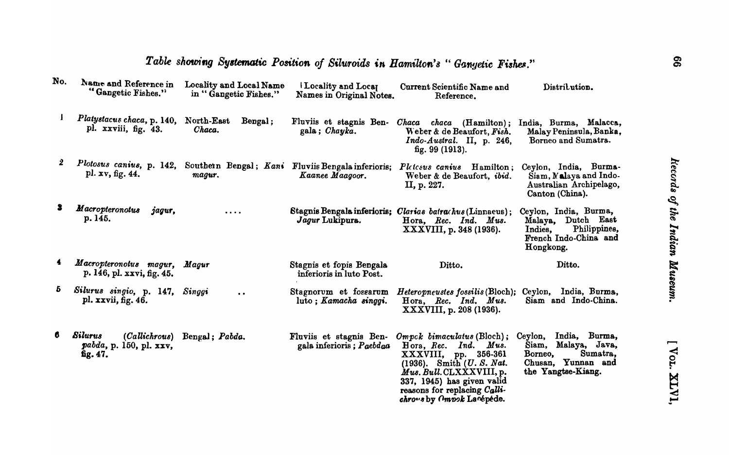| No. | Name and Reference in<br>"Gangetic Fishes."           | Locality and Local Name<br>in "Gangetic Fishes." | Locality and Local<br>Names in Original Notes.       | Current Scientific Name and<br>Reference.                                                                                                                                                                                                         | Distribution.                                                                                                         |
|-----|-------------------------------------------------------|--------------------------------------------------|------------------------------------------------------|---------------------------------------------------------------------------------------------------------------------------------------------------------------------------------------------------------------------------------------------------|-----------------------------------------------------------------------------------------------------------------------|
| I   | Platystacus chaca, p. 140,<br>pl. xxviii, fig. 43.    | North-East<br>Bengal;<br>Chaca.                  | gala; Chayka.                                        | Fluviis et stagnis Ben- Chaca chaca (Hamilton);<br>Weber & de Beaufort, Fish.<br>$Indo-Austral.$ II, p. 246,<br>fig. 99 (1913).                                                                                                                   | India, Burma, Malacca,<br>Malay Peninsula, Banka,<br>Borneo and Sumatra.                                              |
| 2   | Plotosus canius, p. 142,<br>pl. xv, fig. 44.          | Southern Bengal; Kani<br>magur.                  | Fluviis Bengala inferioris;<br>Kaanee Maagoor.       | Pletesus canius Hamilton;<br>Weber & de Beaufort, ibid.<br>II, p. 227.                                                                                                                                                                            | Ceylon, India, Burma-<br>Siam, Malaya and Indo.<br>Australian Archipelago,<br>Canton (China).                         |
| 3   | <b>Macropteronotus</b><br>jagur,<br>p. 145.           | .                                                | Jagur Lukipura.                                      | Stagnis Bengala inferioris; Clarias batrachus (Linnaeus);<br>Hora, Rec. Ind. Mus.<br>XXXVIII, p. 348 (1936).                                                                                                                                      | Ceylon, India, Burma,<br>Dutch East<br>Malaya,<br>Philippines,<br>Indies,<br>French Indo-China and<br>Hongkong.       |
|     | Macropteronotus magur,<br>p. 146, pl. xxvi, fig. 45.  | Magur                                            | Stagnis et fopis Bengala<br>inferioris in luto Post. | Ditto.                                                                                                                                                                                                                                            | Ditto.                                                                                                                |
| Ō.  | Silurus singio, p. 147, Singgi<br>pl. xxvii, fig. 46. | $\bullet$ $\bullet$                              | Stagnorum et fossarum<br>luto; Kamacha singgi.       | Heteropneustes fossilis (Bloch); Ceylon, India, Burma,<br>Hora, Rec. Ind. Mus.<br>XXXVIII, p. 208 (1936).                                                                                                                                         | Siam and Indo-China.                                                                                                  |
| 6   | <b>Silurus</b><br>pabda, p. 150, pl. xxv,<br>fig. 47. | (Callichrous) Bengal; Pabda.                     | Fluviis et stagnis Ben-<br>gala inferioris; Paebdaa  | $Omega$ bimaculatus (Bloch);<br>Ind. Mus.<br>Hora, Rec.<br>$\text{XXXVIII}$ , pp. 356-361<br>$(1936)$ . Smith $(U. S. Nat.$<br>Mus. Bull.CLXXXVIII, p.<br>337, 1945) has given valid<br>reasons for replacing Calli-<br>chrows by Ompok Lacepede. | India, Burma,<br>Ceylon,<br>Malaya, Java,<br>Siam,<br>Sumatra,<br>Borneo,<br>Chusan, Yunnan and<br>the Yangtse-Kiang. |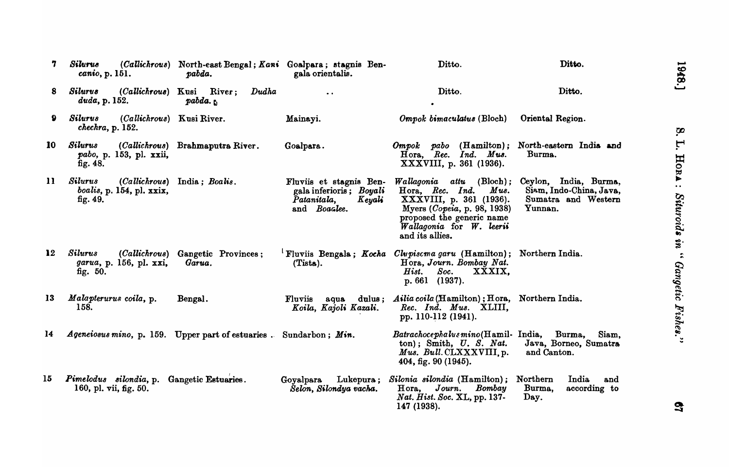| 7            | Silurus<br>canio, p. 151.                                         | pabda.                                          | (Callichrous) North-east Bengal; Kani Goalpara; stagnis Ben-<br>gala orientalis.            | Ditto.                                                                                                                                                                                              | Ditto.                                                                             |
|--------------|-------------------------------------------------------------------|-------------------------------------------------|---------------------------------------------------------------------------------------------|-----------------------------------------------------------------------------------------------------------------------------------------------------------------------------------------------------|------------------------------------------------------------------------------------|
| 8            | Silurus<br>duda, p. 152.                                          | (Callichrous) Kusi River;<br>Dudha<br>$pabda$ . |                                                                                             | Ditto.                                                                                                                                                                                              | Ditto.                                                                             |
| 9            | <b>Silurus</b><br>(Callichrous) Kusi River.<br>chechra, p. 152.   |                                                 | Mainayi.                                                                                    | Ompok bimaculatus (Bloch)                                                                                                                                                                           | Oriental Region.                                                                   |
| 10           | Silurus<br>pabo, p. 153, pl. xxii,<br>fig. $48.$                  | (Callichrous) Brahmaputra River.                | Goalpara.                                                                                   | $Omega$ pabo $(Hamilton);$<br>Hora, Rec. Ind. Mus.<br>XXXVIII, p. 361 (1936).                                                                                                                       | North-eastern India and<br>Burma.                                                  |
| $\mathbf{u}$ | <b>Silurus</b><br>boalis, p. 154, pl. xxix,<br>fig. $49.$         | (Callichrous) India; Boalis.                    | Fluviis et stagnis Ben-<br>gala inferioris; Boyali<br>Patanitala,<br>Keyali<br>and Boaclee. | $Wallagonia$ attu (Bloch);<br>${\it Mus.}$<br>Hora, Rec. Ind.<br>XXXVIII, p. 361 (1936).<br>Myers (Copeia, p. 98, 1938)<br>proposed the generic name<br>Wallagonia for W. leerii<br>and its allies. | Ceylon, India, Burma,<br>Siam, Indo-China, Java,<br>Sumatra and Western<br>Yunnan. |
| 12           | Silurus<br>garua, p. 156, pl. xxi,<br>fig. 50.                    | (Callichrous) Gangetic Provinces;<br>Garua.     | (Tista).                                                                                    | <sup>1</sup> Fluviis Bengala; Kocha <i>Clupiscma garu</i> (Hamilton); Northern India.<br>Hora, Journ. Bombay Nat.<br>Soc.<br>XXXIX,<br>$\boldsymbol{Hist.}$<br>p. 661 (1937).                       |                                                                                    |
| 13           | Malapterurus coila, p.<br>158.                                    | Bengal.                                         | Fluviis<br>aqua<br>Koila, Kajoli Kazali.                                                    | dulus; Ailia coila (Hamilton); Hora, Northern India.<br>Rec. Ind. Mus. XLIII,<br>pp. 110-112 (1941).                                                                                                |                                                                                    |
| 14           | Ageneiosus mino, p. 159. Upper part of estuaries. Sundarbon; Min. |                                                 |                                                                                             | Batrachocephalusmino(Hamil- India, Burma,<br>$ton)$ ; Smith, $U. S. Nat.$<br>Mus. Bull.CLXXXVIII.p.<br>404, fig. 90 (1945).                                                                         | Siam,<br>Java, Borneo, Sumatra<br>and Canton.                                      |
| 15           | Pimelodus silondia, p.<br>160, pl. vii, fig. 50.                  | Gangetic Estuaries.                             | Goyalpara Lukepura;<br>Šelon, Silondya vacha.                                               | Silonia silondia (Hamilton); Northern<br>Hora, Journ. Bombay<br>Nat. Hist. Soc. XL, pp. 137-<br>147 (1938).                                                                                         | India<br>and<br>Burma,<br>according to<br>Day.                                     |

1948.] S. L. Hona: Situroids in " Gangetic Fishes."

 $\mathbf{g}_7$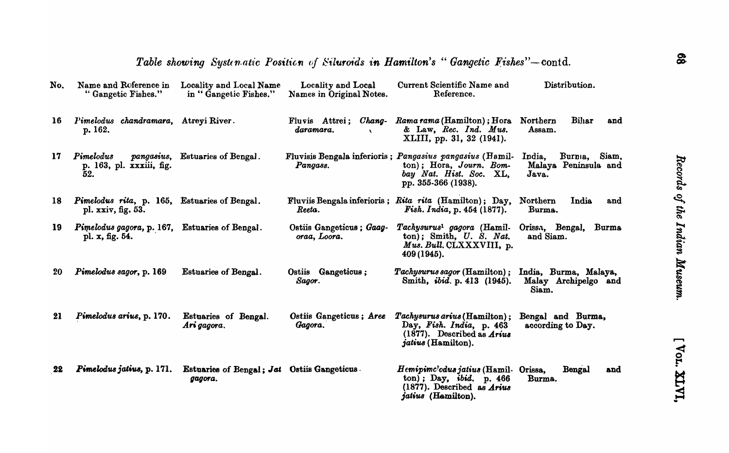| No. | Name and Roference in<br>"Gangetic Fishes."                        | Locality and Local Name<br>in "Gangetic Fishes."       | Locality and Local<br>Names in Original Notes. | Current Scientific Name and<br>Reference.                                                                                                          | Distribution.                                               |
|-----|--------------------------------------------------------------------|--------------------------------------------------------|------------------------------------------------|----------------------------------------------------------------------------------------------------------------------------------------------------|-------------------------------------------------------------|
| 16  | Pimelodus chandramara, Atreyi River.<br>p. 162.                    |                                                        | Fluvis Attrei;<br>Chang-<br>daramara.          | Rama rama (Hamilton); Hora<br>& Law, Rec. Ind. Mus.<br>XLIII, pp. 31, 32 (1941).                                                                   | Bihar<br>Northern<br>and<br>Assam.                          |
| 17  | Pimelodus<br>pangasius,<br>p. 163, pl. xxxiii, fig.<br>52.         | <b>Estuaries of Bengal.</b>                            | Pangass.                                       | Fluvisis Bengala inferioris; Pangasius pangasius (Hamil-<br>$ton)$ ; Hora, Journ. Bom-<br>bay Nat. Hist. Soc. XL,<br>pp. 355-366 (1938).           | India,<br>Burnia,<br>Siam,<br>Malaya Peninsula and<br>Java. |
| 18  | Pimelodus rita, p. 165, Estuaries of Bengal.<br>pl. xxiv, fig. 53. |                                                        | Reeta.                                         | Fluviis Bengala inferioris; Rita rita (Hamilton); Day,<br><i>Fish. India, p.</i> $454(1877)$ .                                                     | India<br>Northern<br>and<br>Burma.                          |
| 19  | Pimelodus gagora, p. 167, Estuaries of Bengal.<br>pl. x, fig. 54.  |                                                        | Ostiis Gangeticus; Gaag-<br>oraa, Loora.       | Tachysurus <sup>1</sup> gagora (Hamil-<br>ton); Smith, U. S. Nat.<br>Mus. Bull. CLXXXVIII, p.<br>409 (1945).                                       | Orissa, Bengal,<br><b>Burma</b><br>and Siam.                |
| 20  | Pimelodus sagor, p. 169                                            | Estuaries of Bengal.                                   | Ostiis Gangeticus;<br>Sagor.                   | Tachysurus sagor (Hamilton);<br>Smith, <i>ibid.</i> p. 413 (1945).                                                                                 | India, Burma, Malaya,<br>Malay Archipelgo and<br>Siam.      |
| 21  | Pimelodus arius, p. 170.                                           | Estuaries of Bengal.<br>Ari gagora.                    | Ostiis Gangeticus; Aree<br>Gagora.             | Tachysurus arius (Hamilton);<br>Day, Fish. India, p. 463<br>$(1877)$ . Described as <i>Arius</i><br><i>jatius</i> (Hamilton).                      | Bengal and Burma,<br>according to Day.                      |
| 22  | Pimelodus jatius, p. 171.                                          | Estuaries of Bengal; Jat Ostiis Gangeticus.<br>gagora. |                                                | Hemipimc'odus jatius (Hamil-Orissa,<br>$\{\text{ton}\}\;$ ; Day, ibid. p. 466<br>$(1877)$ . Described as <i>Arius</i><br><i>jatius</i> (Hamilton). | Bengal<br>and<br>Burma.                                     |

[ Vor. XLVI,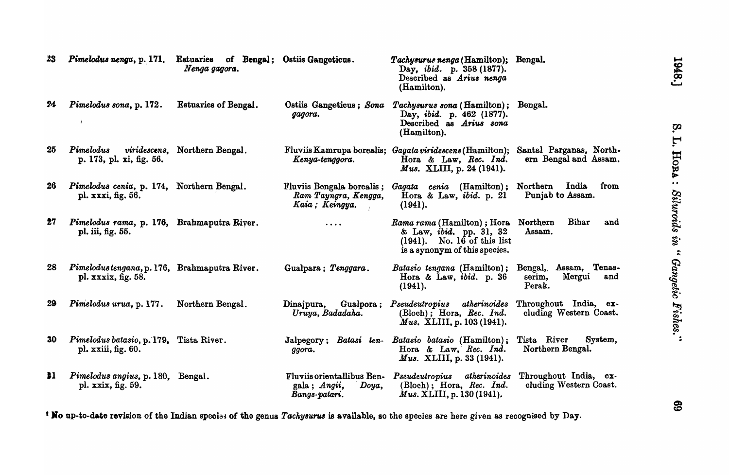| 23 | Pimelodus nenga, p. 171.                                                            | <b>Estuaries</b><br>Nenga gagora.     | of Bengal; Ostiis Gangeticus.                                        | Tachysurus nenga (Hamilton); Bengal.<br>Day, <i>ibid.</i> p. 358 (1877).<br>Described as Arius nenga<br>(Hamilton).                |                                                            |
|----|-------------------------------------------------------------------------------------|---------------------------------------|----------------------------------------------------------------------|------------------------------------------------------------------------------------------------------------------------------------|------------------------------------------------------------|
| 24 | Pimelodus sona, p. 172.                                                             | <b>Estuaries of Bengal.</b>           | Ostiis Gangeticus; Sona<br>gagora.                                   | Tachysurus sona (Hamilton); Bengal.<br>Day, <i>ibid.</i> p. 462 (1877).<br>Described as Arius sona<br>(Hamilton).                  |                                                            |
| 25 | Pimelodus<br>p. 173, pl. xi, fig. 56.                                               | <i>viridescens</i> , Northern Bengal. | Kenya-tenggora.                                                      | Fluviis Kamrupa borealis; Gagata viridescens (Hamilton);<br>Hora & Law, Rec. Ind.<br><i>Mus.</i> XLIII, p. 24 (1941).              | Santal Parganas, North-<br>ern Bengal and Assam.           |
| 26 | Pimelodus cenia, p. 174, Northern Bengal.<br>pl. xxxi, fig. 56.                     |                                       | Fluviis Bengala borealis;<br>Ram Tayngra, Kengga,<br>Kaia; Keingya.  | Gagata cenia (Hamilton);<br>Hora & Law, $ibid.$ p. 21<br>(1941).                                                                   | Northern<br>India<br>from<br>Punjab to Assam.              |
| 27 | Pimelodus rama, p. 176, Brahmaputra River.<br>pl. iii, fig. 55.                     |                                       | .                                                                    | Rama rama (Hamilton); Hora<br>& Law, <i>ibid</i> . pp. 31, 32<br>$(1941)$ . No. $16$ of this list<br>is a synonym of this species. | Bihar<br>Northern<br>and<br>Assam.                         |
| 28 | Pimelodustengana, p. 176, Brahmaputra River.<br>pl. $xxxix$ , fig. 58.              |                                       | Gualpara; Tenggara.                                                  | Batasio tengana (Hamilton);<br>Hora & Law, <i>ibid</i> . p. 36<br>(1941).                                                          | Bengal, Assam, Tenas-<br>Mergui<br>serim,<br>and<br>Perak. |
| 29 | Pimelodus urua, p. 177.                                                             | Northern Bengal.                      | Dinajpura,<br>Uruya, Badadaha.                                       | Gualpora; Pseudeutropius atherinoides<br>$(Bloch)$ ; Hora, Rec. Ind.<br>Mus. XLIII, p. 103 (1941).                                 | Throughout India, ex-<br>cluding Western Coast.            |
| 30 | Pimelodus batasio, p. 179, Tista River.<br>pl. $\overline{\text{xxiii}}$ , fig. 60. |                                       | Batasi ten-<br>Jalpegory;<br>ggora.                                  | Batasio batasio (Hamilton);<br>Hora & Law, Rec. Ind.<br><i>Mus.</i> XLIII, p. 33 (1941).                                           | Tista River<br>System,<br>Northern Bengal.                 |
| 81 | Pimelodus angius, p. 180, Bengal.<br>pl. xxix, fig. 59.                             |                                       | Fluviis orientallibus Ben-<br>gala; Angii,<br>Doya,<br>Bangs-patari. | $\it{atherinoides}$<br>Pseudeutropius<br>$(Bloch)$ ; Hora, Rec. Ind.<br>Mus. XLIII, p. 130 (1941).                                 | Throughout India, ex-<br>cluding Western Coast.            |

<sup>1</sup> No up-to-date revision of the Indian species of the genus *Tachysurus* is available, so the species are here given as recognised by Day.

69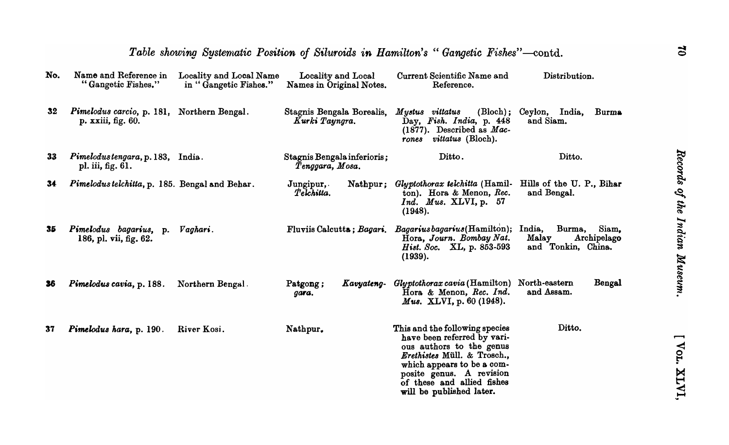|                 | Table showing Systematic Position of Siluroids in Hamilton's "Gangetic Fishes"—contd. |                                                  |                                                |                                                                                                                                                                                                                                              |                                                                         |
|-----------------|---------------------------------------------------------------------------------------|--------------------------------------------------|------------------------------------------------|----------------------------------------------------------------------------------------------------------------------------------------------------------------------------------------------------------------------------------------------|-------------------------------------------------------------------------|
| No.             | Name and Reference in<br>"Gangetic Fishes."                                           | Locality and Local Name<br>in "Gangetic Fishes." | Locality and Local<br>Names in Original Notes. | Current Scientific Name and<br>Reference.                                                                                                                                                                                                    | Distribution.                                                           |
| $32\phantom{a}$ | Pimelodus carcio, p. 181, Northern Bengal.<br>p. xxiii, fig. 60.                      |                                                  | Stagnis Bengala Borealis,<br>Kurki Tayngra.    | Mystus vittatus<br>$(Bloch)$ ;<br>Day, Fish. India, p. 448<br>$(1877)$ . Described as <i>Mac-</i><br>rones vittatus (Bloch).                                                                                                                 | Ceylon, India,<br><b>Burma</b><br>and Siam.                             |
| 33              | Pimelodustengara, p. 183, India.<br>pl. iii, fig. 61.                                 |                                                  | Stagnis Bengala inferioris;<br>Tenggara, Mosa. | Ditto.                                                                                                                                                                                                                                       | Ditto.                                                                  |
| 34              | Pimelodus telchitta, p. 185. Bengal and Behar.                                        |                                                  | $J$ ungipur,<br>Telchitta.                     | Nathpur; Glyptothorax telchitta (Hamil-<br>ton). Hora & Menon, Rec.<br>$Ind.$ Mus. XLVI, p. 57<br>(1948).                                                                                                                                    | Hills of the U. P., Bihar<br>and Bengal.                                |
| 35              | Pimelodus bagarius,<br>p.<br>186, pl. vii, fig. 62.                                   | Vaghari.                                         | Fluviis Calcutta; Bagari.                      | Bagariusbagarius(Hamilton);<br>Hora, Journ. Bombay Nat.<br>Hist. Soc. XL, p. 853-593<br>(1939).                                                                                                                                              | Burma,<br>India,<br>Siam.<br>Malay<br>Archipelago<br>and Tonkin, China. |
| 36              | Pimelodus cavia, p. 188.                                                              | Northern Bengal.                                 | Kavyateng-<br>Patgong;<br>gara.                | <i>Glyptothorax cavia</i> (Hamilton)<br>Hora & Menon, Rec. Ind.<br><i>Mus.</i> XLVI, p. 60 (1948).                                                                                                                                           | North-eastern<br>Bengal<br>and Assam.                                   |
| 37              | Pimelodus hara, p. 190.                                                               | River Kosi.                                      | Nathpur.                                       | This and the following species<br>have been referred by vari-<br>ous authors to the genus<br>Erethistes Müll. & Trosch.,<br>which appears to be a com-<br>posite genus. A revision<br>of these and allied fishes<br>will be published later. | Ditto.                                                                  |

[ Vor. XLVI,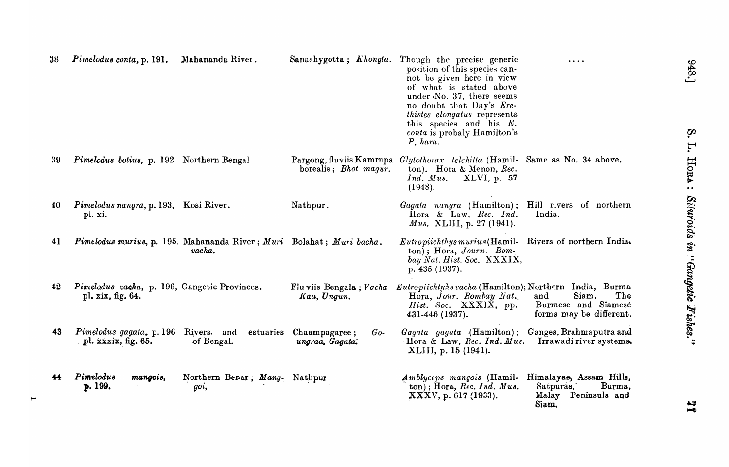| 38  | Pimelodus conta, p. 191.                                                          | Mahananda River.                                                               | Sanashygotta; Khongta.                                    | Though the precise generic<br>position of this species can-<br>not be given here in view<br>of what is stated above<br>under No. 37, there seems<br>no doubt that Day's Ere-<br>thistes elongatus represents<br>this species and his $E$ .<br>conta is probaly Hamilton's<br>$P$ , hara. | .                                                                              |
|-----|-----------------------------------------------------------------------------------|--------------------------------------------------------------------------------|-----------------------------------------------------------|------------------------------------------------------------------------------------------------------------------------------------------------------------------------------------------------------------------------------------------------------------------------------------------|--------------------------------------------------------------------------------|
| -39 | Pimelodus botius, p. 192 Northern Bengal                                          |                                                                                | Pargong, fluviis Kamrupa<br>borealis; <i>Bhot magur</i> . | Glytothorax telchitta (Hamil- Same as No. 34 above.<br>ton). Hora & Menon, Rec.<br>Ind. Mus.<br>XLVI, p. 57<br>(1948).                                                                                                                                                                   |                                                                                |
| 40  | Pinelodus nangra, p. 193, Kosi River.<br>pl. xi.                                  |                                                                                | Nathpur.                                                  | Gagata nangra (Hamilton); Hill rivers of northern<br>Hora & Law, Rec. Ind.<br><i>Mus.</i> XLIII, p. 27 (1941).                                                                                                                                                                           | India.                                                                         |
| 41  |                                                                                   | Pimelodus murius, p. 195. Mahananda River; Muri Bolahat; Muri bacha.<br>vacha. |                                                           | <i>Eutropiichthys murius</i> (Hamil-<br>$ton)$ ; Hora, Journ. Bom-<br>bay Nat. Hist. Soc. XXXIX,<br>p. $435(1937)$ .                                                                                                                                                                     | Rivers of northern India.                                                      |
| 42  | Pimelodus vacha, p. 196, Gangetic Provinces.<br>pl. xix, fig. 64.                 |                                                                                | Kaa, Ungun.                                               | Flu viis Bengala; Vacha Eutropiichtyhs vacha (Hamilton); Northern India, Burma<br>Hora, Jour. Bombay Nat.<br>Hist. Soc. XXXIX, pp.<br>431-446 (1937).                                                                                                                                    | Siam.<br>The<br>and<br>Burmese and Siamese<br>forms may be different.          |
| 43  | Pimelodus gagata, p. 196 Rivers. and<br>pl. $\overline{\text{xx}}$ xxix, fig. 65. | of Bengal.                                                                     | estuaries Chaampagaree;<br>$Go-$<br>ungraa, Gagata.       | Gagata gagata (Hamilton); Ganges, Brahmaputra and<br>$\cdot$ Hora & Law, Rec. Ind. Mus.<br>XLIII, p. 15 (1941).                                                                                                                                                                          | Irrawadi river systems.                                                        |
| 44  | Pimelodus<br>mangois,<br>p. 199.                                                  | Northern Bepar; Mang- Nathpur<br>goi,                                          |                                                           | Amblyceps mangois (Hamil-<br>$ton$ ; Hora, Rec. Ind. Mus.<br>XXXV, p. 617 (1933).                                                                                                                                                                                                        | Himalayas, Assam Hills,<br>Satpuras,<br>Burma,<br>Malay Peninsula and<br>Siam, |

948.]